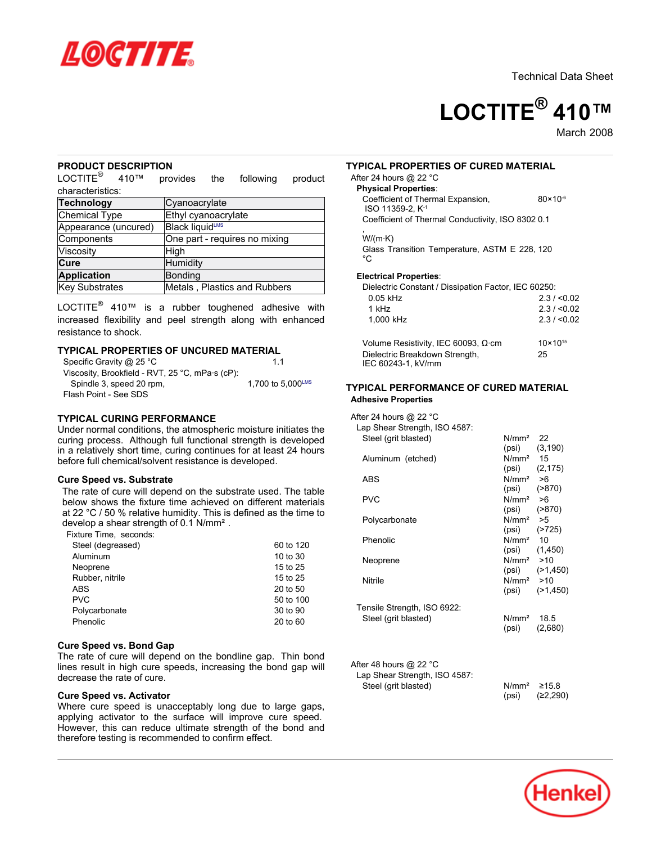



March<sub>2008</sub>

### **PRODUCT DESCRIPTION**

 $\mathsf{LOCTITE}^\circledast$  410™ provides the following product characteristics:

| <b>Technology</b>    | Cyanoacrylate                      |
|----------------------|------------------------------------|
| Chemical Type        | Ethyl cyanoacrylate                |
| Appearance (uncured) | <b>Black liquid</b> <sup>LMS</sup> |
| Components           | One part - requires no mixing      |
| Viscosity            | High                               |
| Cure                 | Humidity                           |
| <b>Application</b>   | Bonding                            |
| Key Substrates       | Metals, Plastics and Rubbers       |

LOCTITE $^{\circledR}$  410™ is a rubber toughened adhesive with increased flexibility and peel strength along with enhanced resistance to shock.

# **TYPICAL PROPERTIES OF UNCURED MATERIAL**

| Specific Gravity @ 25 °C                        | 11                |
|-------------------------------------------------|-------------------|
| Viscosity, Brookfield - RVT, 25 °C, mPa·s (cP): |                   |
| Spindle 3, speed 20 rpm,                        | 1,700 to 5,000LMS |
| Flash Point - See SDS                           |                   |

# **TYPICAL CURING PERFORMANCE**

Under normal conditions, the atmospheric moisture initiates the curing process. Although full functional strength is developed in a relatively short time, curing continues for at least 24 hours before full chemical/solvent resistance is developed.

### **Cure Speed vs. Substrate**

The rate of cure will depend on the substrate used. The table below shows the fixture time achieved on different materials at 22 °C / 50 % relative humidity. This is defined as the time to develop a shear strength of 0.1 N/mm².

Fixture Time, seconds:

| Steel (degreased) | 60 to 120 |
|-------------------|-----------|
| Aluminum          | 10 to 30  |
| Neoprene          | 15 to 25  |
| Rubber, nitrile   | 15 to 25  |
| <b>ABS</b>        | 20 to 50  |
| <b>PVC</b>        | 50 to 100 |
| Polycarbonate     | 30 to 90  |
| Phenolic          | 20 to 60  |
|                   |           |

#### **Cure Speed vs. Bond Gap**

The rate of cure will depend on the bondline gap. Thin bond lines result in high cure speeds, increasing the bond gap will decrease the rate of cure.

### **Cure Speed vs. Activator**

Where cure speed is unacceptably long due to large gaps, applying activator to the surface will improve cure speed. However, this can reduce ultimate strength of the bond and therefore testing is recommended to confirm effect.

### **TYPICAL PROPERTIES OF CURED MATERIAL**

#### After 24 hours @ 22 °C **Physical Properties**:

| TIYSICAI FTODUTUUS.                               |                     |
|---------------------------------------------------|---------------------|
| Coefficient of Thermal Expansion,                 | $80 \times 10^{-6}$ |
| ISO 11359-2. K <sup>-1</sup>                      |                     |
| Coefficient of Thermal Conductivity, ISO 8302 0.1 |                     |

, W/(m·K)

Glass Transition Temperature, ASTM E 228, 120  $^{\circ}C$ 

#### **Electrical Properties**:

IEC 60243-1, kV/mm

Dielectric Constant / Dissipation Factor, IEC 60250:

| $0.05$ kHz                                 | 2.3 / 0.02          |
|--------------------------------------------|---------------------|
| 1 kHz                                      | 2.3 / 0.02          |
| 1.000 kHz                                  | 2.3 / 0.02          |
| Volume Resistivity, IEC 60093, $\Omega$ cm | $10 \times 10^{15}$ |
| Dielectric Breakdown Strength,             | 25                  |

## **TYPICAL PERFORMANCE OF CURED MATERIAL Adhesive Properties**

After 24 hours @ 22 °C Lap Shear Strength, ISO 4587: Steel (grit blasted) N/mm<sup>2</sup> 22 (psi) (3,190) Aluminum (etched)  $N/mm^2$  15<br>(psi) (2,1)  $(2,175)$ ABS N/mm<sup>2</sup> >6 (psi) (>870) PVC N/mm<sup>2</sup> >6 (psi) (>870) Polycarbonate N/mm<sup>2</sup> > 5 (psi) (>725) Phenolic N/mm<sup>2</sup> 10 (psi) (1,450) Neoprene N/mm<sup>2</sup> >10 (psi) (>1,450) Nitrile N/mm<sup>2</sup> >10 (psi) (>1,450) Tensile Strength, ISO 6922: Steel (grit blasted) N/mm<sup>2</sup> 18.5 (psi) (2,680) After 48 hours @ 22 °C<br>Lan Shear Strength, IS  $\mathsf{C}$ 

| Lap Shear Strength, ISO 4587: |                               |          |
|-------------------------------|-------------------------------|----------|
| Steel (grit blasted)          | N/mm <sup>2</sup> $\geq$ 15.8 |          |
|                               | (psi)                         | (≥2,290) |

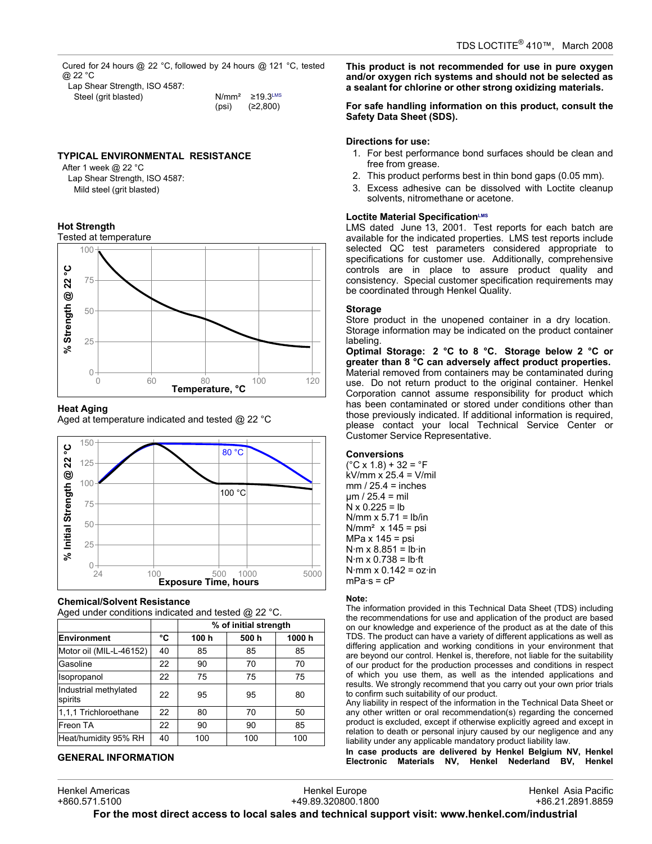Cured for 24 hours @ 22 °C, followed by 24 hours @ 121 °C, tested @ 22 °C

| Lap Shear Strength, ISO 4587: |       |                   |
|-------------------------------|-------|-------------------|
| Steel (grit blasted)          |       | $N/mm^2$ 219.3LMS |
|                               | (psi) | (≥2,800)          |

### **TYPICAL ENVIRONMENTAL RESISTANCE**

After 1 week @ 22 °C Lap Shear Strength, ISO 4587: Mild steel (grit blasted)

### **Hot Strength**



#### **Heat Aging**

Aged at temperature indicated and tested  $\omega$  22 °C



### **Chemical/Solvent Resistance**

Aged under conditions indicated and tested @ 22 °C.

|                                  |    | % of initial strength |      |       |
|----------------------------------|----|-----------------------|------|-------|
| Environment                      | °C | 100 h                 | 500h | 1000h |
| Motor oil (MIL-L-46152)          | 40 | 85                    | 85   | 85    |
| Gasoline                         | 22 | 90                    | 70   | 70    |
| Isopropanol                      | 22 | 75                    | 75   | 75    |
| Industrial methylated<br>spirits | 22 | 95                    | 95   | 80    |
| 1,1,1 Trichloroethane            | 22 | 80                    | 70   | 50    |
| Freon TA                         | 22 | 90                    | 90   | 85    |
| Heat/humidity 95% RH             | 40 | 100                   | 100  | 100   |

### **GENERAL INFORMATION**

Henkel Americas

**This product is not recommended for use in pure oxygen and/or oxygen rich systems and should not be selected as a sealant for chlorine or other strong oxidizing materials.**

#### **For safe handling information on this product, consult the Safety Data Sheet (SDS).**

### **Directions for use:**

- 1. For best performance bond surfaces should be clean and free from grease.
- 2. This product performs best in thin bond gaps (0.05 mm).
- 3. Excess adhesive can be dissolved with Loctite cleanup solvents, nitromethane or acetone.

### **Loctite Material SpecificationLMS**

LMS dated June 13, 2001. Test reports for each batch are available for the indicated properties. LMS test reports include selected QC test parameters considered appropriate to specifications for customer use. Additionally, comprehensive controls are in place to assure product quality and consistency. Special customer specification requirements may be coordinated through Henkel Quality.

#### **Storage**

Store product in the unopened container in a dry location. Storage information may be indicated on the product container labeling.

**Optimal Storage: 2 °C to 8 °C. Storage below 2 °C or greater than 8 °C can adversely affect product properties.** Material removed from containers may be contaminated during use. Do not return product to the original container. Henkel Corporation cannot assume responsibility for product which has been contaminated or stored under conditions other than those previously indicated. If additional information is required, please contact your local Technical Service Center or Customer Service Representative.

#### **Conversions**

 $(^{\circ}C \times 1.8) + 32 = ^{\circ}F$ kV/mm x 25.4 = V/mil  $mm / 25.4 = inches$  $µm / 25.4 = mli$  $N \times 0.225 = lb$  $N/mm \times 5.71 = lb/in$  $N/mm<sup>2</sup>$  x 145 = psi MPa x 145 = psi  $N·m \times 8.851 = lb·in$  $N·m \times 0.738 = lb·ft$  $N·mm \times 0.142 = oz·in$  $mPa·s = cP$ 

#### **Note:**

The information provided in this Technical Data Sheet (TDS) including the recommendations for use and application of the product are based on our knowledge and experience of the product as at the date of this TDS. The product can have a variety of different applications as well as differing application and working conditions in your environment that are beyond our control. Henkel is, therefore, not liable for the suitability of our product for the production processes and conditions in respect of which you use them, as well as the intended applications and results. We strongly recommend that you carry out your own prior trials to confirm such suitability of our product.

Any liability in respect of the information in the Technical Data Sheet or any other written or oral recommendation(s) regarding the concerned product is excluded, except if otherwise explicitly agreed and except in relation to death or personal injury caused by our negligence and any liability under any applicable mandatory product liability law.

**In case products are delivered by Henkel Belgium NV, Henkel Electronic Materials NV, Henkel Nederland BV, Henkel**

Henkel Europe